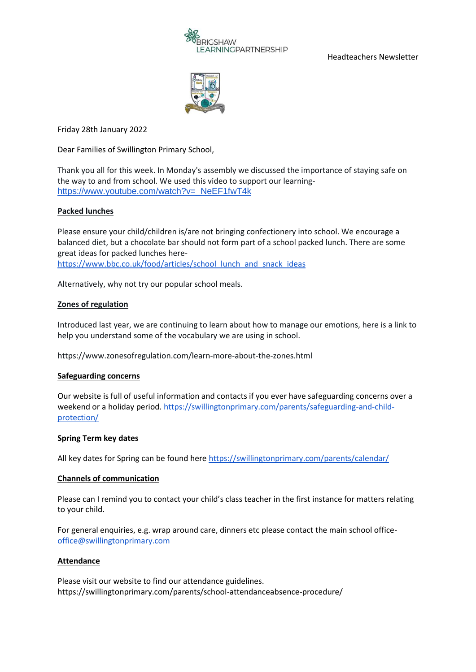

Headteachers Newsletter



Friday 28th January 2022

Dear Families of Swillington Primary School,

Thank you all for this week. In Monday's assembly we discussed the importance of staying safe on the way to and from school. We used this video to support our learning[https://www.youtube.com/watch?v=\\_NeEF1fwT4k](https://www.youtube.com/watch?v=_NeEF1fwT4k)

# **Packed lunches**

Please ensure your child/children is/are not bringing confectionery into school. We encourage a balanced diet, but a chocolate bar should not form part of a school packed lunch. There are some great ideas for packed lunches here[https://www.bbc.co.uk/food/articles/school\\_lunch\\_and\\_snack\\_ideas](https://www.bbc.co.uk/food/articles/school_lunch_and_snack_ideas)

Alternatively, why not try our popular school meals.

# **Zones of regulation**

Introduced last year, we are continuing to learn about how to manage our emotions, here is a link to help you understand some of the vocabulary we are using in school.

https://www.zonesofregulation.com/learn-more-about-the-zones.html

## **Safeguarding concerns**

Our website is full of useful information and contacts if you ever have safeguarding concerns over a weekend or a holiday period. [https://swillingtonprimary.com/parents/safeguarding-and-child](https://swillingtonprimary.com/parents/safeguarding-and-child-protection/)[protection/](https://swillingtonprimary.com/parents/safeguarding-and-child-protection/)

## **Spring Term key dates**

All key dates for Spring can be found here<https://swillingtonprimary.com/parents/calendar/>

## **Channels of communication**

Please can I remind you to contact your child's class teacher in the first instance for matters relating to your child.

For general enquiries, e.g. wrap around care, dinners etc please contact the main school office[office@swillingtonprimary.com](mailto:office@swillingtonprimary.com)

## **Attendance**

Please visit our website to find our attendance guidelines. https://swillingtonprimary.com/parents/school-attendanceabsence-procedure/